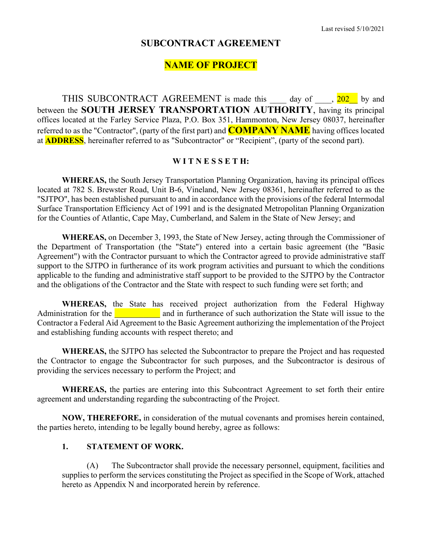# **SUBCONTRACT AGREEMENT**

# **NAME OF PROJECT**

THIS SUBCONTRACT AGREEMENT is made this day of  $\frac{202}{7}$  by and between the **SOUTH JERSEY TRANSPORTATION AUTHORITY**, having its principal offices located at the Farley Service Plaza, P.O. Box 351, Hammonton, New Jersey 08037, hereinafter referred to as the "Contractor", (party of the first part) and **COMPANY NAME** having offices located at **ADDRESS**, hereinafter referred to as "Subcontractor" or "Recipient", (party of the second part).

#### **W I T N E S S E T H:**

**WHEREAS,** the South Jersey Transportation Planning Organization, having its principal offices located at 782 S. Brewster Road, Unit B-6, Vineland, New Jersey 08361, hereinafter referred to as the "SJTPO", has been established pursuant to and in accordance with the provisions of the federal Intermodal Surface Transportation Efficiency Act of 1991 and is the designated Metropolitan Planning Organization for the Counties of Atlantic, Cape May, Cumberland, and Salem in the State of New Jersey; and

**WHEREAS,** on December 3, 1993, the State of New Jersey, acting through the Commissioner of the Department of Transportation (the "State") entered into a certain basic agreement (the "Basic Agreement") with the Contractor pursuant to which the Contractor agreed to provide administrative staff support to the SJTPO in furtherance of its work program activities and pursuant to which the conditions applicable to the funding and administrative staff support to be provided to the SJTPO by the Contractor and the obligations of the Contractor and the State with respect to such funding were set forth; and

**WHEREAS,** the State has received project authorization from the Federal Highway Administration for the **Election in the state is a** and in furtherance of such authorization the State will issue to the Contractor a Federal Aid Agreement to the Basic Agreement authorizing the implementation of the Project and establishing funding accounts with respect thereto; and

**WHEREAS,** the SJTPO has selected the Subcontractor to prepare the Project and has requested the Contractor to engage the Subcontractor for such purposes, and the Subcontractor is desirous of providing the services necessary to perform the Project; and

**WHEREAS,** the parties are entering into this Subcontract Agreement to set forth their entire agreement and understanding regarding the subcontracting of the Project.

**NOW, THEREFORE,** in consideration of the mutual covenants and promises herein contained, the parties hereto, intending to be legally bound hereby, agree as follows:

#### **1. STATEMENT OF WORK.**

(A) The Subcontractor shall provide the necessary personnel, equipment, facilities and supplies to perform the services constituting the Project as specified in the Scope of Work, attached hereto as Appendix N and incorporated herein by reference.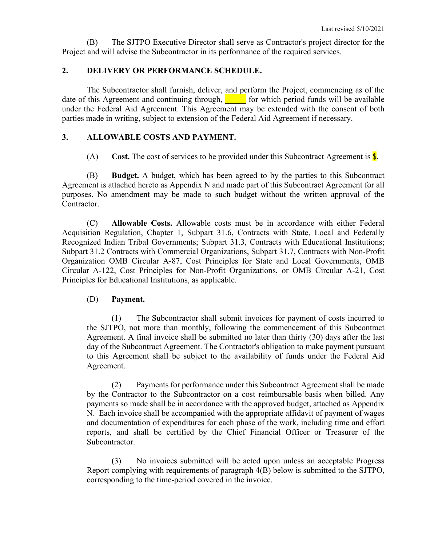(B) The SJTPO Executive Director shall serve as Contractor's project director for the Project and will advise the Subcontractor in its performance of the required services.

#### **2. DELIVERY OR PERFORMANCE SCHEDULE.**

The Subcontractor shall furnish, deliver, and perform the Project, commencing as of the date of this Agreement and continuing through,  $\Box$  for which period funds will be available under the Federal Aid Agreement. This Agreement may be extended with the consent of both parties made in writing, subject to extension of the Federal Aid Agreement if necessary.

## **3. ALLOWABLE COSTS AND PAYMENT.**

(A) **Cost.** The cost of services to be provided under this Subcontract Agreement is \$.

(B) **Budget.** A budget, which has been agreed to by the parties to this Subcontract Agreement is attached hereto as Appendix N and made part of this Subcontract Agreement for all purposes. No amendment may be made to such budget without the written approval of the Contractor.

(C) **Allowable Costs.** Allowable costs must be in accordance with either Federal Acquisition Regulation, Chapter 1, Subpart 31.6, Contracts with State, Local and Federally Recognized Indian Tribal Governments; Subpart 31.3, Contracts with Educational Institutions; Subpart 31.2 Contracts with Commercial Organizations, Subpart 31.7, Contracts with Non-Profit Organization OMB Circular A-87, Cost Principles for State and Local Governments, OMB Circular A-122, Cost Principles for Non-Profit Organizations, or OMB Circular A-21, Cost Principles for Educational Institutions, as applicable.

#### (D) **Payment.**

(1) The Subcontractor shall submit invoices for payment of costs incurred to the SJTPO, not more than monthly, following the commencement of this Subcontract Agreement. A final invoice shall be submitted no later than thirty (30) days after the last day of the Subcontract Agreement. The Contractor's obligation to make payment pursuant to this Agreement shall be subject to the availability of funds under the Federal Aid Agreement.

(2) Payments for performance under this Subcontract Agreement shall be made by the Contractor to the Subcontractor on a cost reimbursable basis when billed. Any payments so made shall be in accordance with the approved budget, attached as Appendix N. Each invoice shall be accompanied with the appropriate affidavit of payment of wages and documentation of expenditures for each phase of the work, including time and effort reports, and shall be certified by the Chief Financial Officer or Treasurer of the Subcontractor.

(3) No invoices submitted will be acted upon unless an acceptable Progress Report complying with requirements of paragraph 4(B) below is submitted to the SJTPO, corresponding to the time-period covered in the invoice.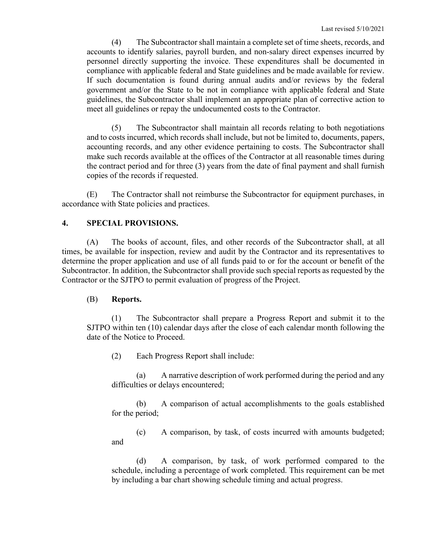(4) The Subcontractor shall maintain a complete set of time sheets, records, and accounts to identify salaries, payroll burden, and non-salary direct expenses incurred by personnel directly supporting the invoice. These expenditures shall be documented in compliance with applicable federal and State guidelines and be made available for review. If such documentation is found during annual audits and/or reviews by the federal government and/or the State to be not in compliance with applicable federal and State guidelines, the Subcontractor shall implement an appropriate plan of corrective action to meet all guidelines or repay the undocumented costs to the Contractor.

(5) The Subcontractor shall maintain all records relating to both negotiations and to costs incurred, which records shall include, but not be limited to, documents, papers, accounting records, and any other evidence pertaining to costs. The Subcontractor shall make such records available at the offices of the Contractor at all reasonable times during the contract period and for three (3) years from the date of final payment and shall furnish copies of the records if requested.

(E) The Contractor shall not reimburse the Subcontractor for equipment purchases, in accordance with State policies and practices.

#### **4. SPECIAL PROVISIONS.**

(A) The books of account, files, and other records of the Subcontractor shall, at all times, be available for inspection, review and audit by the Contractor and its representatives to determine the proper application and use of all funds paid to or for the account or benefit of the Subcontractor. In addition, the Subcontractor shall provide such special reports as requested by the Contractor or the SJTPO to permit evaluation of progress of the Project.

#### (B) **Reports.**

(1) The Subcontractor shall prepare a Progress Report and submit it to the SJTPO within ten (10) calendar days after the close of each calendar month following the date of the Notice to Proceed.

(2) Each Progress Report shall include:

(a) A narrative description of work performed during the period and any difficulties or delays encountered;

(b) A comparison of actual accomplishments to the goals established for the period;

(c) A comparison, by task, of costs incurred with amounts budgeted; and

(d) A comparison, by task, of work performed compared to the schedule, including a percentage of work completed. This requirement can be met by including a bar chart showing schedule timing and actual progress.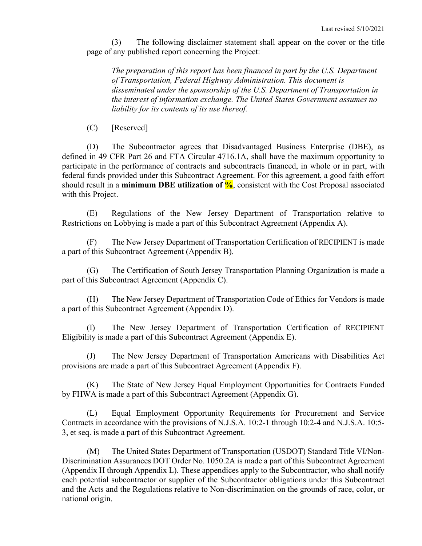(3) The following disclaimer statement shall appear on the cover or the title page of any published report concerning the Project:

*The preparation of this report has been financed in part by the U.S. Department of Transportation, Federal Highway Administration. This document is disseminated under the sponsorship of the U.S. Department of Transportation in the interest of information exchange. The United States Government assumes no liability for its contents of its use thereof.*

(C) [Reserved]

(D) The Subcontractor agrees that Disadvantaged Business Enterprise (DBE), as defined in 49 CFR Part 26 and FTA Circular 4716.1A, shall have the maximum opportunity to participate in the performance of contracts and subcontracts financed, in whole or in part, with federal funds provided under this Subcontract Agreement. For this agreement, a good faith effort should result in a **minimum DBE utilization of**  $\%$ , consistent with the Cost Proposal associated with this Project.

(E) Regulations of the New Jersey Department of Transportation relative to Restrictions on Lobbying is made a part of this Subcontract Agreement (Appendix A).

(F) The New Jersey Department of Transportation Certification of RECIPIENT is made a part of this Subcontract Agreement (Appendix B).

(G) The Certification of South Jersey Transportation Planning Organization is made a part of this Subcontract Agreement (Appendix C).

(H) The New Jersey Department of Transportation Code of Ethics for Vendors is made a part of this Subcontract Agreement (Appendix D).

(I) The New Jersey Department of Transportation Certification of RECIPIENT Eligibility is made a part of this Subcontract Agreement (Appendix E).

(J) The New Jersey Department of Transportation Americans with Disabilities Act provisions are made a part of this Subcontract Agreement (Appendix F).

(K) The State of New Jersey Equal Employment Opportunities for Contracts Funded by FHWA is made a part of this Subcontract Agreement (Appendix G).

(L) Equal Employment Opportunity Requirements for Procurement and Service Contracts in accordance with the provisions of N.J.S.A. 10:2-1 through 10:2-4 and N.J.S.A. 10:5- 3, et seq. is made a part of this Subcontract Agreement.

(M) The United States Department of Transportation (USDOT) Standard Title VI/Non-Discrimination Assurances DOT Order No. 1050.2A is made a part of this Subcontract Agreement (Appendix H through Appendix L). These appendices apply to the Subcontractor, who shall notify each potential subcontractor or supplier of the Subcontractor obligations under this Subcontract and the Acts and the Regulations relative to Non-discrimination on the grounds of race, color, or national origin.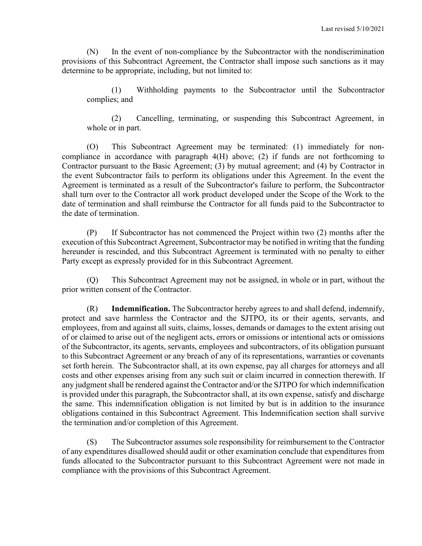(N) In the event of non-compliance by the Subcontractor with the nondiscrimination provisions of this Subcontract Agreement, the Contractor shall impose such sanctions as it may determine to be appropriate, including, but not limited to:

(1) Withholding payments to the Subcontractor until the Subcontractor complies; and

(2) Cancelling, terminating, or suspending this Subcontract Agreement, in whole or in part.

(O) This Subcontract Agreement may be terminated: (1) immediately for noncompliance in accordance with paragraph 4(H) above; (2) if funds are not forthcoming to Contractor pursuant to the Basic Agreement; (3) by mutual agreement; and (4) by Contractor in the event Subcontractor fails to perform its obligations under this Agreement. In the event the Agreement is terminated as a result of the Subcontractor's failure to perform, the Subcontractor shall turn over to the Contractor all work product developed under the Scope of the Work to the date of termination and shall reimburse the Contractor for all funds paid to the Subcontractor to the date of termination.

(P) If Subcontractor has not commenced the Project within two (2) months after the execution of this Subcontract Agreement, Subcontractor may be notified in writing that the funding hereunder is rescinded, and this Subcontract Agreement is terminated with no penalty to either Party except as expressly provided for in this Subcontract Agreement.

(Q) This Subcontract Agreement may not be assigned, in whole or in part, without the prior written consent of the Contractor.

(R) **Indemnification.** The Subcontractor hereby agrees to and shall defend, indemnify, protect and save harmless the Contractor and the SJTPO, its or their agents, servants, and employees, from and against all suits, claims, losses, demands or damages to the extent arising out of or claimed to arise out of the negligent acts, errors or omissions or intentional acts or omissions of the Subcontractor, its agents, servants, employees and subcontractors, of its obligation pursuant to this Subcontract Agreement or any breach of any of its representations, warranties or covenants set forth herein. The Subcontractor shall, at its own expense, pay all charges for attorneys and all costs and other expenses arising from any such suit or claim incurred in connection therewith. If any judgment shall be rendered against the Contractor and/or the SJTPO for which indemnification is provided under this paragraph, the Subcontractor shall, at its own expense, satisfy and discharge the same. This indemnification obligation is not limited by but is in addition to the insurance obligations contained in this Subcontract Agreement. This Indemnification section shall survive the termination and/or completion of this Agreement.

(S) The Subcontractor assumes sole responsibility for reimbursement to the Contractor of any expenditures disallowed should audit or other examination conclude that expenditures from funds allocated to the Subcontractor pursuant to this Subcontract Agreement were not made in compliance with the provisions of this Subcontract Agreement.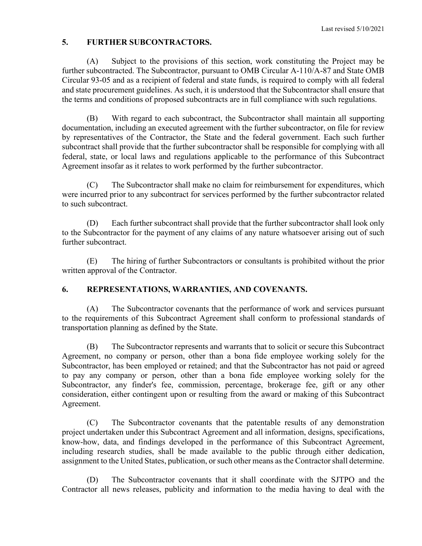## **5. FURTHER SUBCONTRACTORS.**

(A) Subject to the provisions of this section, work constituting the Project may be further subcontracted. The Subcontractor, pursuant to OMB Circular A-110/A-87 and State OMB Circular 93-05 and as a recipient of federal and state funds, is required to comply with all federal and state procurement guidelines. As such, it is understood that the Subcontractor shall ensure that the terms and conditions of proposed subcontracts are in full compliance with such regulations.

(B) With regard to each subcontract, the Subcontractor shall maintain all supporting documentation, including an executed agreement with the further subcontractor, on file for review by representatives of the Contractor, the State and the federal government. Each such further subcontract shall provide that the further subcontractor shall be responsible for complying with all federal, state, or local laws and regulations applicable to the performance of this Subcontract Agreement insofar as it relates to work performed by the further subcontractor.

(C) The Subcontractor shall make no claim for reimbursement for expenditures, which were incurred prior to any subcontract for services performed by the further subcontractor related to such subcontract.

(D) Each further subcontract shall provide that the further subcontractor shall look only to the Subcontractor for the payment of any claims of any nature whatsoever arising out of such further subcontract.

(E) The hiring of further Subcontractors or consultants is prohibited without the prior written approval of the Contractor.

## **6. REPRESENTATIONS, WARRANTIES, AND COVENANTS.**

(A) The Subcontractor covenants that the performance of work and services pursuant to the requirements of this Subcontract Agreement shall conform to professional standards of transportation planning as defined by the State.

(B) The Subcontractor represents and warrants that to solicit or secure this Subcontract Agreement, no company or person, other than a bona fide employee working solely for the Subcontractor, has been employed or retained; and that the Subcontractor has not paid or agreed to pay any company or person, other than a bona fide employee working solely for the Subcontractor, any finder's fee, commission, percentage, brokerage fee, gift or any other consideration, either contingent upon or resulting from the award or making of this Subcontract Agreement.

(C) The Subcontractor covenants that the patentable results of any demonstration project undertaken under this Subcontract Agreement and all information, designs, specifications, know-how, data, and findings developed in the performance of this Subcontract Agreement, including research studies, shall be made available to the public through either dedication, assignment to the United States, publication, or such other means as the Contractor shall determine.

(D) The Subcontractor covenants that it shall coordinate with the SJTPO and the Contractor all news releases, publicity and information to the media having to deal with the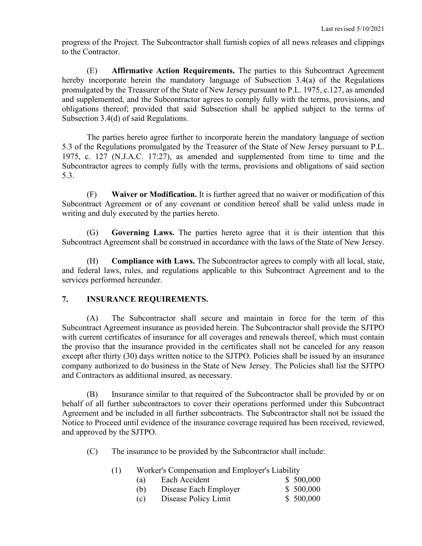progress of the Project. The Subcontractor shall furnish copies of all news releases and clippings to the Contractor.

(E) **Affirmative Action Requirements.** The parties to this Subcontract Agreement hereby incorporate herein the mandatory language of Subsection 3.4(a) of the Regulations promulgated by the Treasurer of the State of New Jersey pursuant to P.L. 1975, c.127, as amended and supplemented, and the Subcontractor agrees to comply fully with the terms, provisions, and obligations thereof; provided that said Subsection shall be applied subject to the terms of Subsection 3.4(d) of said Regulations.

The parties hereto agree further to incorporate herein the mandatory language of section 5.3 of the Regulations promulgated by the Treasurer of the State of New Jersey pursuant to P.L. 1975, c. 127 (N.J.A.C. 17:27), as amended and supplemented from time to time and the Subcontractor agrees to comply fully with the terms, provisions and obligations of said section 5.3.

(F) **Waiver or Modification.** It is further agreed that no waiver or modification of this Subcontract Agreement or of any covenant or condition hereof shall be valid unless made in writing and duly executed by the parties hereto.

(G) **Governing Laws.** The parties hereto agree that it is their intention that this Subcontract Agreement shall be construed in accordance with the laws of the State of New Jersey.

(H) **Compliance with Laws.** The Subcontractor agrees to comply with all local, state, and federal laws, rules, and regulations applicable to this Subcontract Agreement and to the services performed hereunder.

## **7. INSURANCE REQUIREMENTS.**

(A) The Subcontractor shall secure and maintain in force for the term of this Subcontract Agreement insurance as provided herein. The Subcontractor shall provide the SJTPO with current certificates of insurance for all coverages and renewals thereof, which must contain the proviso that the insurance provided in the certificates shall not be canceled for any reason except after thirty (30) days written notice to the SJTPO. Policies shall be issued by an insurance company authorized to do business in the State of New Jersey. The Policies shall list the SJTPO and Contractors as additional insured, as necessary.

(B) Insurance similar to that required of the Subcontractor shall be provided by or on behalf of all further subcontractors to cover their operations performed under this Subcontract Agreement and be included in all further subcontracts. The Subcontractor shall not be issued the Notice to Proceed until evidence of the insurance coverage required has been received, reviewed, and approved by the SJTPO.

(C) The insurance to be provided by the Subcontractor shall include:

| (1) | Worker's Compensation and Employer's Liability |                       |           |  |  |
|-----|------------------------------------------------|-----------------------|-----------|--|--|
|     | (a)                                            | Each Accident         | \$500,000 |  |  |
|     | (b)                                            | Disease Each Employer | \$500,000 |  |  |
|     | (c)                                            | Disease Policy Limit  | \$500,000 |  |  |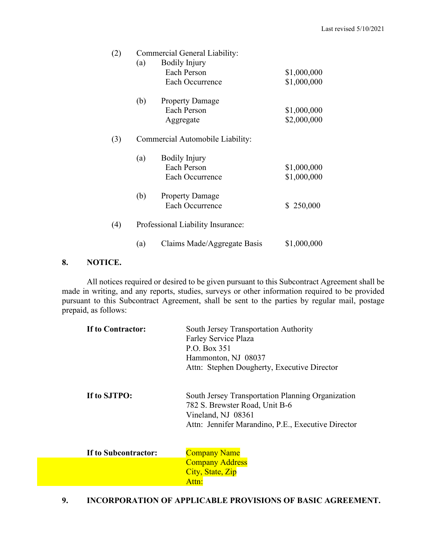| (2) | Commercial General Liability:     |                             |             |  |
|-----|-----------------------------------|-----------------------------|-------------|--|
|     | (a)                               | <b>Bodily Injury</b>        |             |  |
|     |                                   | Each Person                 | \$1,000,000 |  |
|     |                                   | Each Occurrence             | \$1,000,000 |  |
|     | (b)                               | <b>Property Damage</b>      |             |  |
|     |                                   | Each Person                 | \$1,000,000 |  |
|     |                                   | Aggregate                   | \$2,000,000 |  |
| (3) | Commercial Automobile Liability:  |                             |             |  |
|     | (a)                               | Bodily Injury               |             |  |
|     |                                   | Each Person                 | \$1,000,000 |  |
|     |                                   | Each Occurrence             | \$1,000,000 |  |
|     | (b)                               | <b>Property Damage</b>      |             |  |
|     |                                   | Each Occurrence             | \$250,000   |  |
| (4) | Professional Liability Insurance: |                             |             |  |
|     | (a)                               | Claims Made/Aggregate Basis | \$1,000,000 |  |

#### **8. NOTICE.**

All notices required or desired to be given pursuant to this Subcontract Agreement shall be made in writing, and any reports, studies, surveys or other information required to be provided pursuant to this Subcontract Agreement, shall be sent to the parties by regular mail, postage prepaid, as follows:

| If to Contractor:    | South Jersey Transportation Authority<br>Farley Service Plaza<br>P.O. Box 351<br>Hammonton, NJ 08037<br>Attn: Stephen Dougherty, Executive Director             |
|----------------------|-----------------------------------------------------------------------------------------------------------------------------------------------------------------|
| If to SJTPO:         | South Jersey Transportation Planning Organization<br>782 S. Brewster Road, Unit B-6<br>Vineland, NJ 08361<br>Attn: Jennifer Marandino, P.E., Executive Director |
| If to Subcontractor: | <b>Company Name</b>                                                                                                                                             |
|                      | <b>Company Address</b>                                                                                                                                          |
|                      | City, State, Zip                                                                                                                                                |
|                      | Attn:                                                                                                                                                           |

**9. INCORPORATION OF APPLICABLE PROVISIONS OF BASIC AGREEMENT.**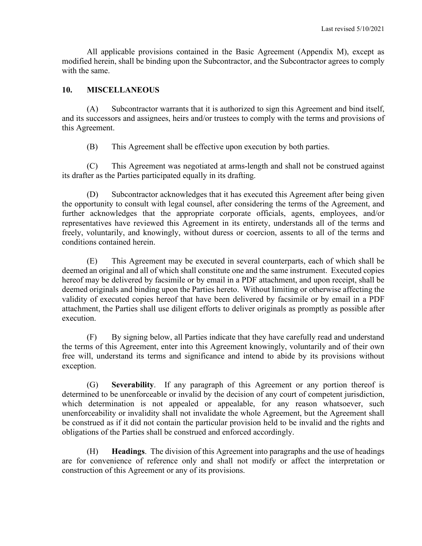All applicable provisions contained in the Basic Agreement (Appendix M), except as modified herein, shall be binding upon the Subcontractor, and the Subcontractor agrees to comply with the same.

#### **10. MISCELLANEOUS**

(A) Subcontractor warrants that it is authorized to sign this Agreement and bind itself, and its successors and assignees, heirs and/or trustees to comply with the terms and provisions of this Agreement.

(B) This Agreement shall be effective upon execution by both parties.

(C) This Agreement was negotiated at arms-length and shall not be construed against its drafter as the Parties participated equally in its drafting.

(D) Subcontractor acknowledges that it has executed this Agreement after being given the opportunity to consult with legal counsel, after considering the terms of the Agreement, and further acknowledges that the appropriate corporate officials, agents, employees, and/or representatives have reviewed this Agreement in its entirety, understands all of the terms and freely, voluntarily, and knowingly, without duress or coercion, assents to all of the terms and conditions contained herein.

(E) This Agreement may be executed in several counterparts, each of which shall be deemed an original and all of which shall constitute one and the same instrument. Executed copies hereof may be delivered by facsimile or by email in a PDF attachment, and upon receipt, shall be deemed originals and binding upon the Parties hereto. Without limiting or otherwise affecting the validity of executed copies hereof that have been delivered by facsimile or by email in a PDF attachment, the Parties shall use diligent efforts to deliver originals as promptly as possible after execution.

(F) By signing below, all Parties indicate that they have carefully read and understand the terms of this Agreement, enter into this Agreement knowingly, voluntarily and of their own free will, understand its terms and significance and intend to abide by its provisions without exception.

(G) **Severability**. If any paragraph of this Agreement or any portion thereof is determined to be unenforceable or invalid by the decision of any court of competent jurisdiction, which determination is not appealed or appealable, for any reason whatsoever, such unenforceability or invalidity shall not invalidate the whole Agreement, but the Agreement shall be construed as if it did not contain the particular provision held to be invalid and the rights and obligations of the Parties shall be construed and enforced accordingly.

(H) **Headings**. The division of this Agreement into paragraphs and the use of headings are for convenience of reference only and shall not modify or affect the interpretation or construction of this Agreement or any of its provisions.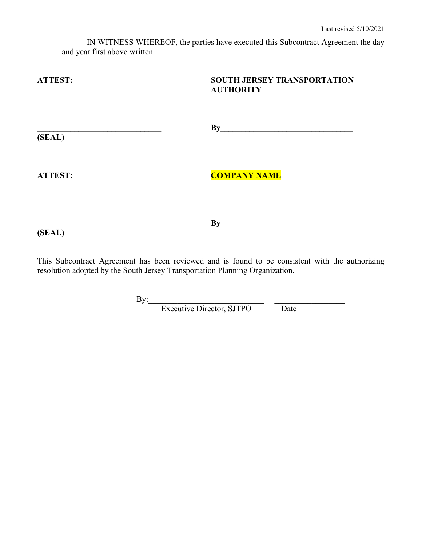IN WITNESS WHEREOF, the parties have executed this Subcontract Agreement the day and year first above written.

**ATTEST: SOUTH JERSEY TRANSPORTATION AUTHORITY**  $\mathbf{B}$ y **(SEAL) ATTEST: COMPANY NAME \_\_\_\_\_\_\_\_\_\_\_\_\_\_\_\_\_\_\_\_\_\_\_\_\_\_\_\_\_\_ By\_\_\_\_\_\_\_\_\_\_\_\_\_\_\_\_\_\_\_\_\_\_\_\_\_\_\_\_\_\_\_\_ (SEAL)**

This Subcontract Agreement has been reviewed and is found to be consistent with the authorizing resolution adopted by the South Jersey Transportation Planning Organization.

By:  $\frac{1}{2}$  . The set of  $\frac{1}{2}$  is the set of  $\frac{1}{2}$  . The set of  $\frac{1}{2}$  is the set of  $\frac{1}{2}$ 

Executive Director, SJTPO Date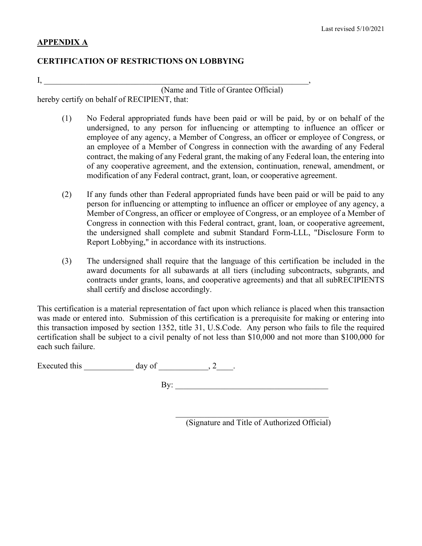## **APPENDIX A**

## **CERTIFICATION OF RESTRICTIONS ON LOBBYING**

 $\mathbf{I},$ 

(Name and Title of Grantee Official) hereby certify on behalf of RECIPIENT, that:

- (1) No Federal appropriated funds have been paid or will be paid, by or on behalf of the undersigned, to any person for influencing or attempting to influence an officer or employee of any agency, a Member of Congress, an officer or employee of Congress, or an employee of a Member of Congress in connection with the awarding of any Federal contract, the making of any Federal grant, the making of any Federal loan, the entering into of any cooperative agreement, and the extension, continuation, renewal, amendment, or modification of any Federal contract, grant, loan, or cooperative agreement.
- (2) If any funds other than Federal appropriated funds have been paid or will be paid to any person for influencing or attempting to influence an officer or employee of any agency, a Member of Congress, an officer or employee of Congress, or an employee of a Member of Congress in connection with this Federal contract, grant, loan, or cooperative agreement, the undersigned shall complete and submit Standard Form-LLL, "Disclosure Form to Report Lobbying," in accordance with its instructions.
- (3) The undersigned shall require that the language of this certification be included in the award documents for all subawards at all tiers (including subcontracts, subgrants, and contracts under grants, loans, and cooperative agreements) and that all subRECIPIENTS shall certify and disclose accordingly.

This certification is a material representation of fact upon which reliance is placed when this transaction was made or entered into. Submission of this certification is a prerequisite for making or entering into this transaction imposed by section 1352, title 31, U.S.Code. Any person who fails to file the required certification shall be subject to a civil penalty of not less than \$10,000 and not more than \$100,000 for each such failure.

Executed this  $\_\_\_\_\_\_\$  day of  $\_\_\_\_\_\_\_\_\_\_\_\,.$ 

 $\mathbf{By:}$ 

 $\mathcal{L}_\text{max}$  , and the set of the set of the set of the set of the set of the set of the set of the set of the set of the set of the set of the set of the set of the set of the set of the set of the set of the set of the (Signature and Title of Authorized Official)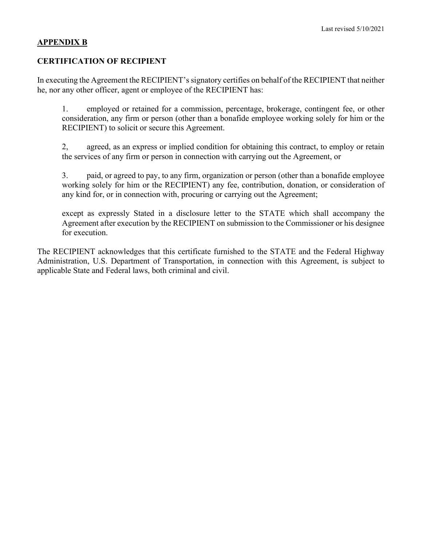#### **APPENDIX B**

## **CERTIFICATION OF RECIPIENT**

In executing the Agreement the RECIPIENT's signatory certifies on behalf of the RECIPIENT that neither he, nor any other officer, agent or employee of the RECIPIENT has:

1. employed or retained for a commission, percentage, brokerage, contingent fee, or other consideration, any firm or person (other than a bonafide employee working solely for him or the RECIPIENT) to solicit or secure this Agreement.

2, agreed, as an express or implied condition for obtaining this contract, to employ or retain the services of any firm or person in connection with carrying out the Agreement, or

3. paid, or agreed to pay, to any firm, organization or person (other than a bonafide employee working solely for him or the RECIPIENT) any fee, contribution, donation, or consideration of any kind for, or in connection with, procuring or carrying out the Agreement;

except as expressly Stated in a disclosure letter to the STATE which shall accompany the Agreement after execution by the RECIPIENT on submission to the Commissioner or his designee for execution.

The RECIPIENT acknowledges that this certificate furnished to the STATE and the Federal Highway Administration, U.S. Department of Transportation, in connection with this Agreement, is subject to applicable State and Federal laws, both criminal and civil.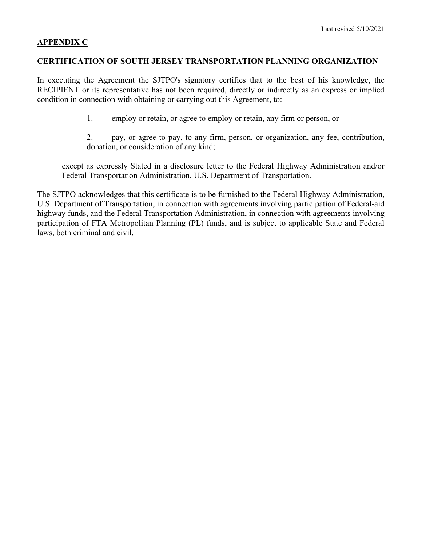#### **APPENDIX C**

#### **CERTIFICATION OF SOUTH JERSEY TRANSPORTATION PLANNING ORGANIZATION**

In executing the Agreement the SJTPO's signatory certifies that to the best of his knowledge, the RECIPIENT or its representative has not been required, directly or indirectly as an express or implied condition in connection with obtaining or carrying out this Agreement, to:

1. employ or retain, or agree to employ or retain, any firm or person, or

2. pay, or agree to pay, to any firm, person, or organization, any fee, contribution, donation, or consideration of any kind;

except as expressly Stated in a disclosure letter to the Federal Highway Administration and/or Federal Transportation Administration, U.S. Department of Transportation.

The SJTPO acknowledges that this certificate is to be furnished to the Federal Highway Administration, U.S. Department of Transportation, in connection with agreements involving participation of Federal-aid highway funds, and the Federal Transportation Administration, in connection with agreements involving participation of FTA Metropolitan Planning (PL) funds, and is subject to applicable State and Federal laws, both criminal and civil.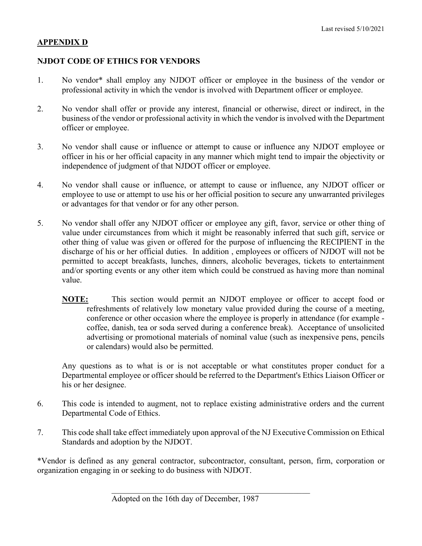## **APPENDIX D**

## **NJDOT CODE OF ETHICS FOR VENDORS**

- 1. No vendor\* shall employ any NJDOT officer or employee in the business of the vendor or professional activity in which the vendor is involved with Department officer or employee.
- 2. No vendor shall offer or provide any interest, financial or otherwise, direct or indirect, in the business of the vendor or professional activity in which the vendor is involved with the Department officer or employee.
- 3. No vendor shall cause or influence or attempt to cause or influence any NJDOT employee or officer in his or her official capacity in any manner which might tend to impair the objectivity or independence of judgment of that NJDOT officer or employee.
- 4. No vendor shall cause or influence, or attempt to cause or influence, any NJDOT officer or employee to use or attempt to use his or her official position to secure any unwarranted privileges or advantages for that vendor or for any other person.
- 5. No vendor shall offer any NJDOT officer or employee any gift, favor, service or other thing of value under circumstances from which it might be reasonably inferred that such gift, service or other thing of value was given or offered for the purpose of influencing the RECIPIENT in the discharge of his or her official duties. In addition , employees or officers of NJDOT will not be permitted to accept breakfasts, lunches, dinners, alcoholic beverages, tickets to entertainment and/or sporting events or any other item which could be construed as having more than nominal value.
	- **NOTE:** This section would permit an NJDOT employee or officer to accept food or refreshments of relatively low monetary value provided during the course of a meeting, conference or other occasion where the employee is properly in attendance (for example coffee, danish, tea or soda served during a conference break). Acceptance of unsolicited advertising or promotional materials of nominal value (such as inexpensive pens, pencils or calendars) would also be permitted.

Any questions as to what is or is not acceptable or what constitutes proper conduct for a Departmental employee or officer should be referred to the Department's Ethics Liaison Officer or his or her designee.

- 6. This code is intended to augment, not to replace existing administrative orders and the current Departmental Code of Ethics.
- 7. This code shall take effect immediately upon approval of the NJ Executive Commission on Ethical Standards and adoption by the NJDOT.

\*Vendor is defined as any general contractor, subcontractor, consultant, person, firm, corporation or organization engaging in or seeking to do business with NJDOT.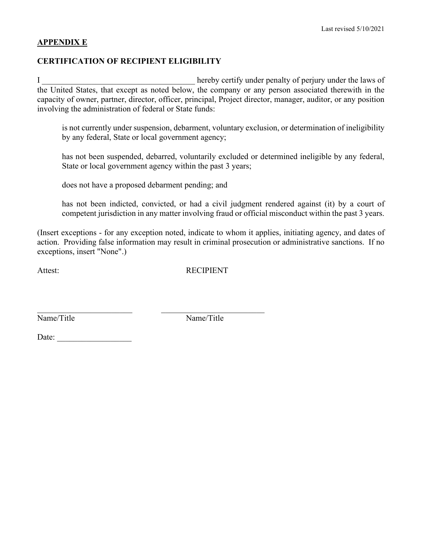### **APPENDIX E**

## **CERTIFICATION OF RECIPIENT ELIGIBILITY**

I hereby certify under penalty of perjury under the laws of the United States, that except as noted below, the company or any person associated therewith in the capacity of owner, partner, director, officer, principal, Project director, manager, auditor, or any position involving the administration of federal or State funds:

is not currently under suspension, debarment, voluntary exclusion, or determination of ineligibility by any federal, State or local government agency;

has not been suspended, debarred, voluntarily excluded or determined ineligible by any federal, State or local government agency within the past 3 years;

does not have a proposed debarment pending; and

\_\_\_\_\_\_\_\_\_\_\_\_\_\_\_\_\_\_\_\_\_\_\_ \_\_\_\_\_\_\_\_\_\_\_\_\_\_\_\_\_\_\_\_\_\_\_\_\_

has not been indicted, convicted, or had a civil judgment rendered against (it) by a court of competent jurisdiction in any matter involving fraud or official misconduct within the past 3 years.

(Insert exceptions - for any exception noted, indicate to whom it applies, initiating agency, and dates of action. Providing false information may result in criminal prosecution or administrative sanctions. If no exceptions, insert "None".)

Attest: RECIPIENT

Name/Title Name/Title

Date: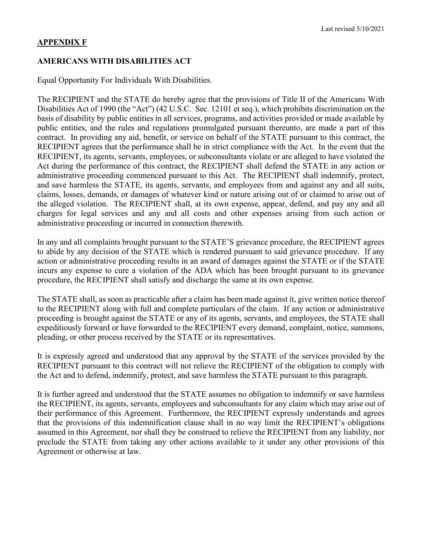#### Last revised 5/10/2021

#### **APPENDIX F**

#### **AMERICANS WITH DISABILITIES ACT**

Equal Opportunity For Individuals With Disabilities.

The RECIPIENT and the STATE do hereby agree that the provisions of Title II of the Americans With Disabilities Act of 1990 (the "Act") (42 U.S.C. Sec. 12101 et seq.), which prohibits discrimination on the basis of disability by public entities in all services, programs, and activities provided or made available by public entities, and the rules and regulations promulgated pursuant thereunto, are made a part of this contract. In providing any aid, benefit, or service on behalf of the STATE pursuant to this contract, the RECIPIENT agrees that the performance shall be in strict compliance with the Act. In the event that the RECIPIENT, its agents, servants, employees, or subconsultants violate or are alleged to have violated the Act during the performance of this contract, the RECIPIENT shall defend the STATE in any action or administrative proceeding commenced pursuant to this Act. The RECIPIENT shall indemnify, protect, and save harmless the STATE, its agents, servants, and employees from and against any and all suits, claims, losses, demands, or damages of whatever kind or nature arising out of or claimed to arise out of the alleged violation. The RECIPIENT shall, at its own expense, appear, defend, and pay any and all charges for legal services and any and all costs and other expenses arising from such action or administrative proceeding or incurred in connection therewith.

In any and all complaints brought pursuant to the STATE'S grievance procedure, the RECIPIENT agrees to abide by any decision of the STATE which is rendered pursuant to said grievance procedure. If any action or administrative proceeding results in an award of damages against the STATE or if the STATE incurs any expense to cure a violation of the ADA which has been brought pursuant to its grievance procedure, the RECIPIENT shall satisfy and discharge the same at its own expense.

The STATE shall, as soon as practicable after a claim has been made against it, give written notice thereof to the RECIPIENT along with full and complete particulars of the claim. If any action or administrative proceeding is brought against the STATE or any of its agents, servants, and employees, the STATE shall expeditiously forward or have forwarded to the RECIPIENT every demand, complaint, notice, summons, pleading, or other process received by the STATE or its representatives.

It is expressly agreed and understood that any approval by the STATE of the services provided by the RECIPIENT pursuant to this contract will not relieve the RECIPIENT of the obligation to comply with the Act and to defend, indemnify, protect, and save harmless the STATE pursuant to this paragraph.

It is further agreed and understood that the STATE assumes no obligation to indemnify or save harmless the RECIPIENT, its agents, servants, employees and subconsultants for any claim which may arise out of their performance of this Agreement. Furthermore, the RECIPIENT expressly understands and agrees that the provisions of this indemnification clause shall in no way limit the RECIPIENT's obligations assumed in this Agreement, nor shall they be construed to relieve the RECIPIENT from any liability, nor preclude the STATE from taking any other actions available to it under any other provisions of this Agreement or otherwise at law.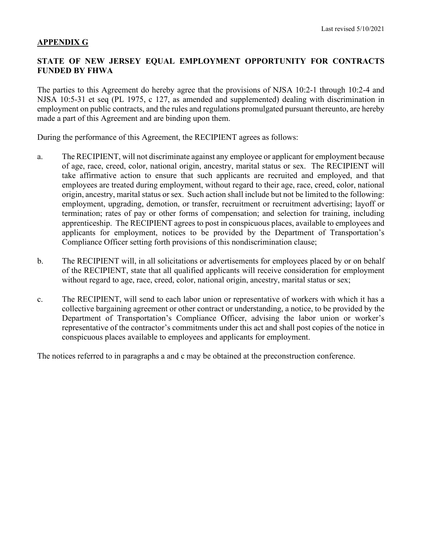#### **APPENDIX G**

#### **STATE OF NEW JERSEY EQUAL EMPLOYMENT OPPORTUNITY FOR CONTRACTS FUNDED BY FHWA**

The parties to this Agreement do hereby agree that the provisions of NJSA 10:2-1 through 10:2-4 and NJSA 10:5-31 et seq (PL 1975, c 127, as amended and supplemented) dealing with discrimination in employment on public contracts, and the rules and regulations promulgated pursuant thereunto, are hereby made a part of this Agreement and are binding upon them.

During the performance of this Agreement, the RECIPIENT agrees as follows:

- a. The RECIPIENT, will not discriminate against any employee or applicant for employment because of age, race, creed, color, national origin, ancestry, marital status or sex. The RECIPIENT will take affirmative action to ensure that such applicants are recruited and employed, and that employees are treated during employment, without regard to their age, race, creed, color, national origin, ancestry, marital status or sex. Such action shall include but not be limited to the following: employment, upgrading, demotion, or transfer, recruitment or recruitment advertising; layoff or termination; rates of pay or other forms of compensation; and selection for training, including apprenticeship. The RECIPIENT agrees to post in conspicuous places, available to employees and applicants for employment, notices to be provided by the Department of Transportation's Compliance Officer setting forth provisions of this nondiscrimination clause;
- b. The RECIPIENT will, in all solicitations or advertisements for employees placed by or on behalf of the RECIPIENT, state that all qualified applicants will receive consideration for employment without regard to age, race, creed, color, national origin, ancestry, marital status or sex;
- c. The RECIPIENT, will send to each labor union or representative of workers with which it has a collective bargaining agreement or other contract or understanding, a notice, to be provided by the Department of Transportation's Compliance Officer, advising the labor union or worker's representative of the contractor's commitments under this act and shall post copies of the notice in conspicuous places available to employees and applicants for employment.

The notices referred to in paragraphs a and c may be obtained at the preconstruction conference.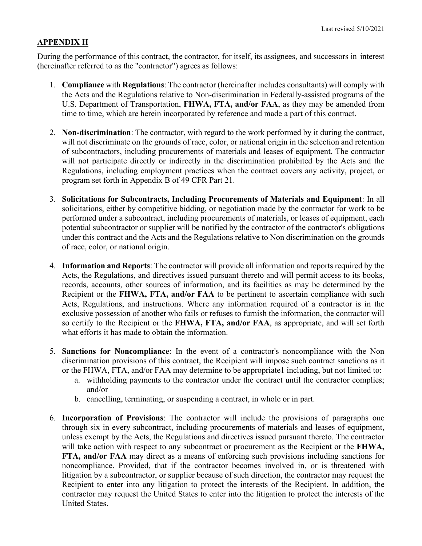#### **APPENDIX H**

During the performance of this contract, the contractor, for itself, its assignees, and successors in interest (hereinafter referred to as the "contractor") agrees as follows:

- 1. **Compliance** with **Regulations**: The contractor (hereinafter includes consultants) will comply with the Acts and the Regulations relative to Non-discrimination in Federally-assisted programs of the U.S. Department of Transportation, **FHWA, FTA, and/or FAA**, as they may be amended from time to time, which are herein incorporated by reference and made a part of this contract.
- 2. **Non-discrimination**: The contractor, with regard to the work performed by it during the contract, will not discriminate on the grounds of race, color, or national origin in the selection and retention of subcontractors, including procurements of materials and leases of equipment. The contractor will not participate directly or indirectly in the discrimination prohibited by the Acts and the Regulations, including employment practices when the contract covers any activity, project, or program set forth in Appendix B of 49 CFR Part 21.
- 3. **Solicitations for Subcontracts, Including Procurements of Materials and Equipment**: In all solicitations, either by competitive bidding, or negotiation made by the contractor for work to be performed under a subcontract, including procurements of materials, or leases of equipment, each potential subcontractor or supplier will be notified by the contractor of the contractor's obligations under this contract and the Acts and the Regulations relative to Non discrimination on the grounds of race, color, or national origin.
- 4. **Information and Reports**: The contractor will provide all information and reports required by the Acts, the Regulations, and directives issued pursuant thereto and will permit access to its books, records, accounts, other sources of information, and its facilities as may be determined by the Recipient or the **FHWA, FTA, and/or FAA** to be pertinent to ascertain compliance with such Acts, Regulations, and instructions. Where any information required of a contractor is in the exclusive possession of another who fails or refuses to furnish the information, the contractor will so certify to the Recipient or the **FHWA, FTA, and/or FAA**, as appropriate, and will set forth what efforts it has made to obtain the information.
- 5. **Sanctions for Noncompliance**: In the event of a contractor's noncompliance with the Non discrimination provisions of this contract, the Recipient will impose such contract sanctions as it or the FHWA, FTA, and/or FAA may determine to be appropriate1 including, but not limited to:
	- a. withholding payments to the contractor under the contract until the contractor complies; and/or
	- b. cancelling, terminating, or suspending a contract, in whole or in part.
- 6. **Incorporation of Provisions**: The contractor will include the provisions of paragraphs one through six in every subcontract, including procurements of materials and leases of equipment, unless exempt by the Acts, the Regulations and directives issued pursuant thereto. The contractor will take action with respect to any subcontract or procurement as the Recipient or the **FHWA, FTA, and/or FAA** may direct as a means of enforcing such provisions including sanctions for noncompliance. Provided, that if the contractor becomes involved in, or is threatened with litigation by a subcontractor, or supplier because of such direction, the contractor may request the Recipient to enter into any litigation to protect the interests of the Recipient. In addition, the contractor may request the United States to enter into the litigation to protect the interests of the United States.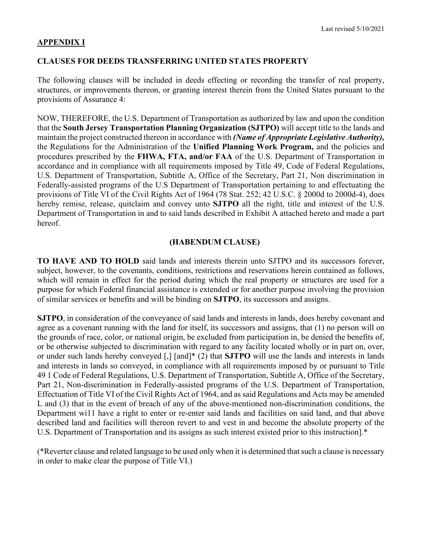#### **APPENDIX I**

#### **CLAUSES FOR DEEDS TRANSFERRING UNITED STATES PROPERTY**

The following clauses will be included in deeds effecting or recording the transfer of real property, structures, or improvements thereon, or granting interest therein from the United States pursuant to the provisions of Assurance 4:

NOW, THEREFORE, the U.S. Department of Transportation as authorized by law and upon the condition that the **South Jersey Transportation Planning Organization (SJTPO)** will accept title to the lands and maintain the project constructed thereon in accordance with *(Name of Appropriate Legislative Authority),*  the Regulations for the Administration of the **Unified Planning Work Program,** and the policies and procedures prescribed by the **FHWA, FTA, and/or FAA** of the U.S. Department of Transportation in accordance and in compliance with all requirements imposed by Title 49, Code of Federal Regulations, U.S. Department of Transportation, Subtitle A, Office of the Secretary, Part 21, Non discrimination in Federally-assisted programs of the U.S Department of Transportation pertaining to and effectuating the provisions of Title VI of the Civil Rights Act of 1964 (78 Stat. 252; 42 U.S.C. § 2000d to 2000d-4), does hereby remise, release, quitclaim and convey unto **SJTPO** all the right, title and interest of the U.S. Department of Transportation in and to said lands described in Exhibit A attached hereto and made a part hereof.

#### **(HABENDUM CLAUSE)**

**TO HAVE AND TO HOLD** said lands and interests therein unto SJTPO and its successors forever, subject, however, to the covenants, conditions, restrictions and reservations herein contained as follows, which will remain in effect for the period during which the real property or structures are used for a purpose for which Federal financial assistance is extended or for another purpose involving the provision of similar services or benefits and will be binding on **SJTPO**, its successors and assigns.

**SJTPO**, in consideration of the conveyance of said lands and interests in lands, does hereby covenant and agree as a covenant running with the land for itself, its successors and assigns, that (1) no person will on the grounds of race, color, or national origin, be excluded from participation in, be denied the benefits of, or be otherwise subjected to discrimination with regard to any facility located wholly or in part on, over, or under such lands hereby conveyed [,] [and]\* (2) that **SJTPO** will use the lands and interests in lands and interests in lands so conveyed, in compliance with all requirements imposed by or pursuant to Title 49 1 Code of Federal Regulations, U.S. Department of Transportation, Subtitle A, Office of the Secretary, Part 21, Non-discrimination in Federally-assisted programs of the U.S. Department of Transportation, Effectuation of Title VI of the Civil Rights Act of 1964, and as said Regulations and Acts may be amended L and (3) that in the event of breach of any of the above-mentioned non-discrimination conditions, the Department wi11 have a right to enter or re-enter said lands and facilities on said land, and that above described land and facilities will thereon revert to and vest in and become the absolute property of the U.S. Department of Transportation and its assigns as such interest existed prior to this instruction].\*

(\*Reverter clause and related language to be used only when it is determined that such a clause is necessary in order to make clear the purpose of Title VI.)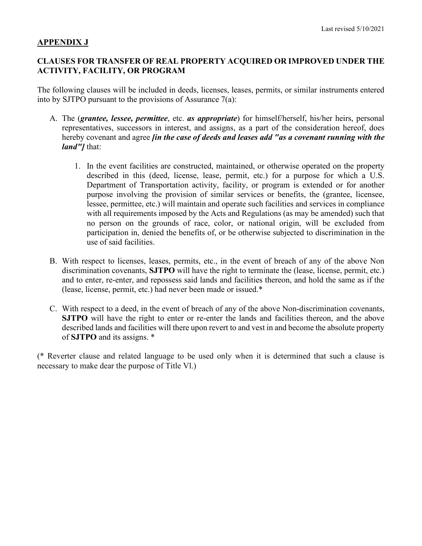#### **APPENDIX J**

#### **CLAUSES FOR TRANSFER OF REAL PROPERTY ACQUIRED OR IMPROVED UNDER THE ACTIVITY, FACILITY, OR PROGRAM**

The following clauses will be included in deeds, licenses, leases, permits, or similar instruments entered into by SJTPO pursuant to the provisions of Assurance 7(a):

- A. The (*grantee, lessee, permittee*, etc. *as appropriate*) for himself/herself, his/her heirs, personal representatives, successors in interest, and assigns, as a part of the consideration hereof, does hereby covenant and agree *[in the case of deeds and leases add "as a covenant running with the land"]* that:
	- 1. In the event facilities are constructed, maintained, or otherwise operated on the property described in this (deed, license, lease, permit, etc.) for a purpose for which a U.S. Department of Transportation activity, facility, or program is extended or for another purpose involving the provision of similar services or benefits, the (grantee, licensee, lessee, permittee, etc.) will maintain and operate such facilities and services in compliance with all requirements imposed by the Acts and Regulations (as may be amended) such that no person on the grounds of race, color, or national origin, will be excluded from participation in, denied the benefits of, or be otherwise subjected to discrimination in the use of said facilities.
- B. With respect to licenses, leases, permits, etc., in the event of breach of any of the above Non discrimination covenants, **SJTPO** will have the right to terminate the (lease, license, permit, etc.) and to enter, re-enter, and repossess said lands and facilities thereon, and hold the same as if the (lease, license, permit, etc.) had never been made or issued.\*
- C. With respect to a deed, in the event of breach of any of the above Non-discrimination covenants, **SJTPO** will have the right to enter or re-enter the lands and facilities thereon, and the above described lands and facilities will there upon revert to and vest in and become the absolute property of **SJTPO** and its assigns. \*

(\* Reverter clause and related language to be used only when it is determined that such a clause is necessary to make dear the purpose of Title Vl.)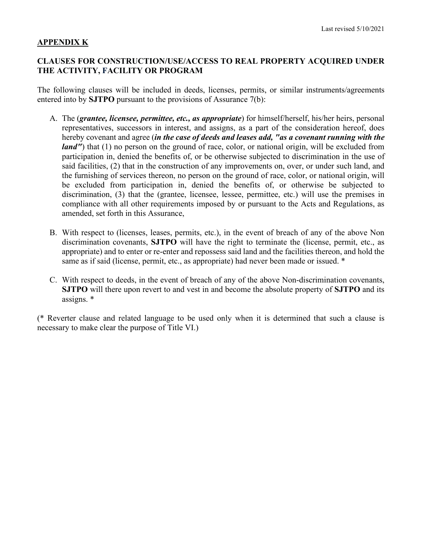#### **APPENDIX K**

#### **CLAUSES FOR CONSTRUCTION/USE/ACCESS TO REAL PROPERTY ACQUIRED UNDER THE ACTIVITY, FACILITY OR PROGRAM**

The following clauses will be included in deeds, licenses, permits, or similar instruments/agreements entered into by **SJTPO** pursuant to the provisions of Assurance 7(b):

- A. The (*grantee, licensee, permittee, etc., as appropriate*) for himself/herself, his/her heirs, personal representatives, successors in interest, and assigns, as a part of the consideration hereof, does hereby covenant and agree (*in the case of deeds and leases add, "as a covenant running with the land''*) that (1) no person on the ground of race, color, or national origin, will be excluded from participation in, denied the benefits of, or be otherwise subjected to discrimination in the use of said facilities, (2) that in the construction of any improvements on, over, or under such land, and the furnishing of services thereon, no person on the ground of race, color, or national origin, will be excluded from participation in, denied the benefits of, or otherwise be subjected to discrimination, (3) that the (grantee, licensee, lessee, permittee, etc.) will use the premises in compliance with all other requirements imposed by or pursuant to the Acts and Regulations, as amended, set forth in this Assurance,
- B. With respect to (licenses, leases, permits, etc.), in the event of breach of any of the above Non discrimination covenants, **SJTPO** will have the right to terminate the (license, permit, etc., as appropriate) and to enter or re-enter and repossess said land and the facilities thereon, and hold the same as if said (license, permit, etc., as appropriate) had never been made or issued. \*
- C. With respect to deeds, in the event of breach of any of the above Non-discrimination covenants, **SJTPO** will there upon revert to and vest in and become the absolute property of **SJTPO** and its assigns. \*

(\* Reverter clause and related language to be used only when it is determined that such a clause is necessary to make clear the purpose of Title VI.)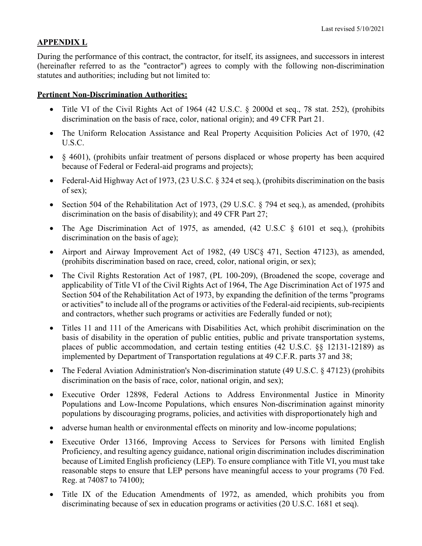## **APPENDIX L**

During the performance of this contract, the contractor, for itself, its assignees, and successors in interest (hereinafter referred to as the "contractor") agrees to comply with the following non-discrimination statutes and authorities; including but not limited to:

### **Pertinent Non-Discrimination Authorities:**

- Title VI of the Civil Rights Act of 1964 (42 U.S.C. § 2000d et seq., 78 stat. 252), (prohibits discrimination on the basis of race, color, national origin); and 49 CFR Part 21.
- The Uniform Relocation Assistance and Real Property Acquisition Policies Act of 1970, (42 U.S.C.
- § 4601), (prohibits unfair treatment of persons displaced or whose property has been acquired because of Federal or Federal-aid programs and projects);
- Federal-Aid Highway Act of 1973, (23 U.S.C. § 324 et seq.), (prohibits discrimination on the basis of sex);
- Section 504 of the Rehabilitation Act of 1973, (29 U.S.C. § 794 et seq.), as amended, (prohibits discrimination on the basis of disability); and 49 CFR Part 27;
- The Age Discrimination Act of 1975, as amended, (42 U.S.C § 6101 et seq.), (prohibits discrimination on the basis of age);
- Airport and Airway Improvement Act of 1982, (49 USC§ 471, Section 47123), as amended, (prohibits discrimination based on race, creed, color, national origin, or sex);
- The Civil Rights Restoration Act of 1987, (PL 100-209), (Broadened the scope, coverage and applicability of Title VI of the Civil Rights Act of 1964, The Age Discrimination Act of 1975 and Section 504 of the Rehabilitation Act of 1973, by expanding the definition of the terms "programs or activities" to include all of the programs or activities of the Federal-aid recipients, sub-recipients and contractors, whether such programs or activities are Federally funded or not);
- Titles 11 and 111 of the Americans with Disabilities Act, which prohibit discrimination on the basis of disability in the operation of public entities, public and private transportation systems, places of public accommodation, and certain testing entities (42 U.S.C. §§ 12131-12189) as implemented by Department of Transportation regulations at 49 C.F.R. parts 37 and 38;
- The Federal Aviation Administration's Non-discrimination statute (49 U.S.C. § 47123) (prohibits discrimination on the basis of race, color, national origin, and sex);
- Executive Order 12898, Federal Actions to Address Environmental Justice in Minority Populations and Low-Income Populations, which ensures Non-discrimination against minority populations by discouraging programs, policies, and activities with disproportionately high and
- adverse human health or environmental effects on minority and low-income populations;
- Executive Order 13166, Improving Access to Services for Persons with limited English Proficiency, and resulting agency guidance, national origin discrimination includes discrimination because of Limited English proficiency (LEP). To ensure compliance with Title VI, you must take reasonable steps to ensure that LEP persons have meaningful access to your programs (70 Fed. Reg. at 74087 to 74100);
- Title IX of the Education Amendments of 1972, as amended, which prohibits you from discriminating because of sex in education programs or activities (20 U.S.C. 1681 et seq).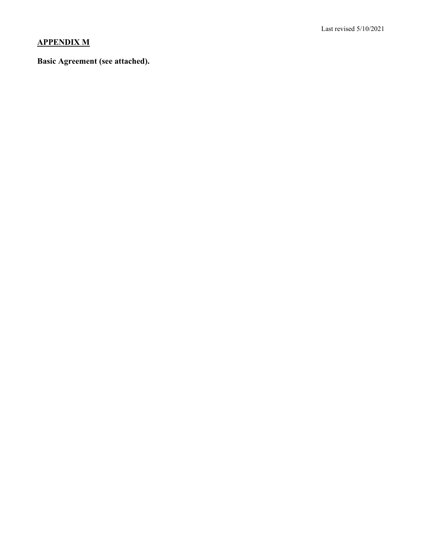# **APPENDIX M**

## **Basic Agreement (see attached).**